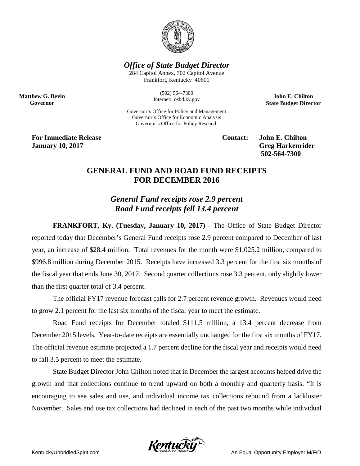

*Office of State Budget Director*

284 Capitol Annex, 702 Capitol Avenue Frankfort, Kentucky 40601

> (502) 564-7300 Internet: osbd.ky.gov

Governor's Office for Policy and Management Governor's Office for Economic Analysis Governor's Office for Policy Research

**John E. Chilton State Budget Director**

**For Immediate Release Contact: John E. Chilton January 10, 2017 Greg Harkenrider**

**Matthew G. Bevin Governor**

**502-564-7300** 

## **GENERAL FUND AND ROAD FUND RECEIPTS FOR DECEMBER 2016**

*General Fund receipts rose 2.9 percent Road Fund receipts fell 13.4 percent*

**FRANKFORT, Ky. (Tuesday, January 10, 2017)** - The Office of State Budget Director reported today that December's General Fund receipts rose 2.9 percent compared to December of last year, an increase of \$28.4 million. Total revenues for the month were \$1,025.2 million, compared to \$996.8 million during December 2015. Receipts have increased 3.3 percent for the first six months of the fiscal year that ends June 30, 2017. Second quarter collections rose 3.3 percent, only slightly lower than the first quarter total of 3.4 percent.

The official FY17 revenue forecast calls for 2.7 percent revenue growth. Revenues would need to grow 2.1 percent for the last six months of the fiscal year to meet the estimate.

Road Fund receipts for December totaled \$111.5 million, a 13.4 percent decrease from December 2015 levels. Year-to-date receipts are essentially unchanged for the first six months of FY17. The official revenue estimate projected a 1.7 percent decline for the fiscal year and receipts would need to fall 3.5 percent to meet the estimate.

State Budget Director John Chilton noted that in December the largest accounts helped drive the growth and that collections continue to trend upward on both a monthly and quarterly basis. "It is encouraging to see sales and use, and individual income tax collections rebound from a lackluster November. Sales and use tax collections had declined in each of the past two months while individual

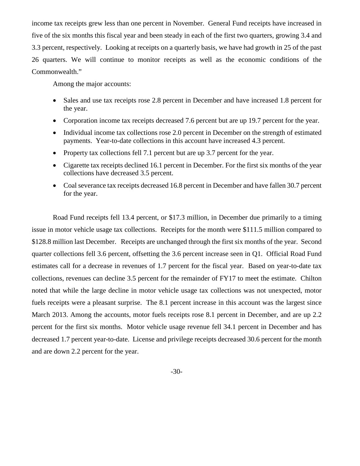income tax receipts grew less than one percent in November. General Fund receipts have increased in five of the six months this fiscal year and been steady in each of the first two quarters, growing 3.4 and 3.3 percent, respectively. Looking at receipts on a quarterly basis, we have had growth in 25 of the past 26 quarters. We will continue to monitor receipts as well as the economic conditions of the Commonwealth."

Among the major accounts:

- Sales and use tax receipts rose 2.8 percent in December and have increased 1.8 percent for the year.
- Corporation income tax receipts decreased 7.6 percent but are up 19.7 percent for the year.
- Individual income tax collections rose 2.0 percent in December on the strength of estimated payments. Year-to-date collections in this account have increased 4.3 percent.
- Property tax collections fell 7.1 percent but are up 3.7 percent for the year.
- Cigarette tax receipts declined 16.1 percent in December. For the first six months of the year collections have decreased 3.5 percent.
- Coal severance tax receipts decreased 16.8 percent in December and have fallen 30.7 percent for the year.

Road Fund receipts fell 13.4 percent, or \$17.3 million, in December due primarily to a timing issue in motor vehicle usage tax collections. Receipts for the month were \$111.5 million compared to \$128.8 million last December. Receipts are unchanged through the first six months of the year. Second quarter collections fell 3.6 percent, offsetting the 3.6 percent increase seen in Q1. Official Road Fund estimates call for a decrease in revenues of 1.7 percent for the fiscal year. Based on year-to-date tax collections, revenues can decline 3.5 percent for the remainder of FY17 to meet the estimate. Chilton noted that while the large decline in motor vehicle usage tax collections was not unexpected, motor fuels receipts were a pleasant surprise. The 8.1 percent increase in this account was the largest since March 2013. Among the accounts, motor fuels receipts rose 8.1 percent in December, and are up 2.2 percent for the first six months. Motor vehicle usage revenue fell 34.1 percent in December and has decreased 1.7 percent year-to-date. License and privilege receipts decreased 30.6 percent for the month and are down 2.2 percent for the year.

-30-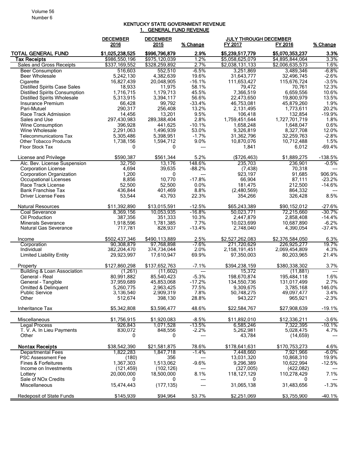## KENTUCKY STATE GOVERNMENT REVENUE 1. GENERAL FUND REVENUE

|                                             | <b>DECEMBER</b><br>2016  | <b>DECEMBER</b><br>2015  | % Change                  | <b>JULY THROUGH DECEMBER</b><br>FY 2017 | FY 2016                  | % Change           |
|---------------------------------------------|--------------------------|--------------------------|---------------------------|-----------------------------------------|--------------------------|--------------------|
| <b>TOTAL GENERAL FUND</b>                   | \$1,025,238,525          | \$996,796,879            | 2.9%                      | \$5,239,517,779                         | \$5,070,353,237          | 3.3%               |
| <b>Tax Receipts</b>                         | \$986,550,196            | \$975,120,039            | 1.2%                      | \$5,058,625,079                         | \$4,895,844,064          | 3.3%               |
| Sales and Gross Receipts                    | \$337,169,552            | \$328,259,892            | 2.7%                      | \$2,038,131,133                         | \$2,006,635,573          | 1.6%               |
| <b>Beer Consumption</b>                     | 516.603                  | 552,510                  | $-6.5%$                   | 3,251,869                               | 3,489,346                | $-6.8%$            |
| <b>Beer Wholesale</b>                       | 5,242,130                | 4,382,639                | 19.6%                     | 31,643,777                              | 32,496,745               | $-2.6%$            |
| Cigarette                                   | 16,827,439               | 20,048,905               | $-16.1%$                  | 111,653,427                             | 115,676,724              | $-3.5%$            |
| <b>Distilled Spirits Case Sales</b>         | 18,933                   | 11,975                   | 58.1%                     | 79,472                                  | 70,761                   | 12.3%              |
| Distilled Spirits Consumption               | 1,716,715                | 1,179,713                | 45.5%                     | 7,366,519                               | 6,659,556                | 10.6%              |
| <b>Distilled Spirits Wholesale</b>          | 5,313,915                | 3,394,117                | 56.6%                     | 22,473,650                              | 19,800,979               | 13.5%              |
| Insurance Premium<br>Pari-Mutuel            | 66,428<br>290,317        | 99,792<br>256,408        | $-33.4%$<br>13.2%         | 46,753,081<br>2,131,495                 | 45,879,260<br>1,773,611  | 1.9%<br>20.2%      |
| Race Track Admission                        | 14,456                   | 13,201                   | 9.5%                      | 106,418                                 | 132.854                  | $-19.9%$           |
| Sales and Use                               | 297,430,983              | 289,388,404              | 2.8%                      | 1,759,451,644                           | 1,727,701,719            | 1.8%               |
| Wine Consumption                            | 396,928                  | 441,625                  | $-10.1%$                  | 1,658,248                               | 1,648,047                | 0.6%               |
| Wine Wholesale                              | 2,291,063                | 1,496,939                | 53.0%                     | 9,326,819                               | 8,327,708                | 12.0%              |
| <b>Telecommunications Tax</b>               | 5,305,486                | 5,398,951                | $-1.7%$                   | 31,362,796                              | 32,259,763               | $-2.8%$            |
| <b>Other Tobacco Products</b>               | 1,738,156                | 1,594,712                | 9.0%                      | 10,870,076                              | 10,712,488               | 1.5%               |
| Floor Stock Tax                             | 0                        | 0                        | $\overline{a}$            | 1,841                                   | 6,012                    | $-69.4%$           |
| License and Privilege                       | \$590.387                | \$561,344                | 5.2%                      | (\$726,463)                             | \$1,889,275              | $-138.5%$          |
| Alc. Bev. License Suspension                | 32,750                   | 13,176                   | 148.6%                    | 235,703                                 | 236,901                  | $-0.5%$            |
| <b>Corporation License</b>                  | 4,694                    | 39,635                   | $-88.2%$                  | (7, 438)                                | 70,318                   |                    |
| <b>Corporation Organization</b>             | 1,200<br>8,856           | 0<br>10,770              | ---<br>$-17.8%$           | 923,197                                 | 91,685<br>87,111         | 906.9%<br>$-23.2%$ |
| Occupational Licenses<br>Race Track License | 52,500                   | 52,500                   | 0.0%                      | 66,904<br>181,475                       | 212,500                  | $-14.6%$           |
| <b>Bank Franchise Tax</b>                   | 436,844                  | 401,469                  | 8.8%                      | (2,480,569)                             | 864,332                  |                    |
| Driver License Fees                         | 53.544                   | 43,793                   | 22.3%                     | 354.266                                 | 326,428                  | 8.5%               |
|                                             |                          |                          |                           |                                         |                          |                    |
| <b>Natural Resources</b>                    | \$11,392,890             | \$13,015,591             | $-12.5%$                  | \$65,243,389                            | \$90,152,012             | $-27.6%$           |
| Coal Severance                              | 8,369,156                | 10,053,935               | -16.8%                    | 50,023,771                              | 72,215,660               | $-30.7\%$          |
| Oil Production                              | 387,356                  | 351,333                  | 10.3%                     | 2,447,879                               | 2,858,408                | $-14.4%$           |
| <b>Minerals Severance</b>                   | 1,918,596                | 1,781,385                | 7.7%                      | 10,023,699                              | 10,687,890               | $-6.2%$            |
| Natural Gas Severance                       | 717,781                  | 828,937                  | $-13.4%$                  | 2,748,040                               | 4,390,054                | $-37.4%$           |
| Income                                      | \$502,437,346            | \$490,113,889            | 2.5%                      | \$2,527,262,083                         | \$2,376,584,050          | 6.3%               |
| Corporation                                 | 90.308.879               | 97.768.898               | $-7.6%$                   | 271,720,629                             | 226.925.277              | 19.7%              |
| Individual                                  | 382,204,470              | 374,734,044              | 2.0%                      | 2,158,191,451                           | 2,069,454,809            | 4.3%               |
| <b>Limited Liability Entity</b>             | 29,923,997               | 17,610,947               | 69.9%                     | 97,350,003                              | 80,203,965               | 21.4%              |
| Property                                    | \$127,860,298            | \$137,652,763            | $-7.1%$                   | \$394,238,159                           | \$380,338,302            | 3.7%               |
| <b>Building &amp; Loan Association</b>      | (1,261)                  | (11,602)                 | $\overline{a}$<br>$-5.3%$ | 15,372                                  | (11, 881)<br>195,484,118 | $---$              |
| General - Real<br>General - Tangible        | 80,991,882<br>37,959,689 | 85,540,423<br>45,853,068 | $-17.2%$                  | 198,670,874<br>134,550,736              | 131,017,499              | 1.6%<br>2.7%       |
| Omitted & Delinquent                        | 5,260,775                | 2,963,425                | 77.5%                     | 9,309,675                               | 3,785,168                | 146.0%             |
| <b>Public Service</b>                       | 3,136,540                | 2,909,319                | 7.8%                      | 50,748,275                              | 49,097,477               | 3.4%               |
| Other                                       | 512,674                  | 398,130                  | 28.8%                     | 943,227                                 | 965,921                  | $-2.3%$            |
| Inheritance Tax                             | \$5,342,808              | \$3,596,477              | 48.6%                     | \$22,584,767                            | \$27,908,639             | $-19.1%$           |
| Miscellaneous                               | \$1,756,915              | \$1,920,083              | $-8.5%$                   | \$11.892.010                            | \$12,336,211             | $-3.6%$            |
| <b>Legal Process</b>                        | 926,843                  | 1,071,528                | $-13.5%$                  | 6,585,246                               | 7,322,395                | $-10.1%$           |
| T. V. A. In Lieu Payments                   | 830,072                  | 848,556                  | $-2.2%$                   | 5,262,981                               | 5,028,475                | 4.7%               |
| Other                                       | 0                        | 0                        | $---$                     | 43,784                                  | (14, 659)                |                    |
| <b>Nontax Receipts</b>                      | \$38,542,390             | \$21,581,875             | 78.6%                     | \$178,641,631                           | \$170,753,273            | 4.6%               |
| <b>Departmental Fees</b>                    | 1,822,283                | 1,847,718                | $-1.4%$                   | 7,448,660                               | 7,921,966                | $-6.0\%$           |
| <b>PSC Assessment Fee</b>                   | (180)                    | 356                      | $\qquad \qquad \cdots$    | 13,031,320                              | 10,868,310               | 19.9%              |
| Fines & Forfeitures                         | 1,367,303                | 1,513,062                | $-9.6%$                   | 9,296,389                               | 10,622,994               | $-12.5%$           |
| Income on Investments<br>Lottery            | (121, 459)<br>20,000,000 | (102, 126)<br>18,500,000 | ---<br>8.1%               | (327,005)<br>118, 127, 129              | (422,082)<br>110,278,429 | 7.1%               |
| Sale of NO <sub>x</sub> Credits             | 0                        | 0                        | $---$                     | $\Omega$                                | 0                        |                    |
| Miscellaneous                               | 15,474,443               | (177, 135)               |                           | 31,065,138                              | 31,483,656               | $-1.3%$            |
| Redeposit of State Funds                    | \$145,939                | \$94,964                 | 53.7%                     | \$2,251,069                             | \$3,755,900              | $-40.1%$           |